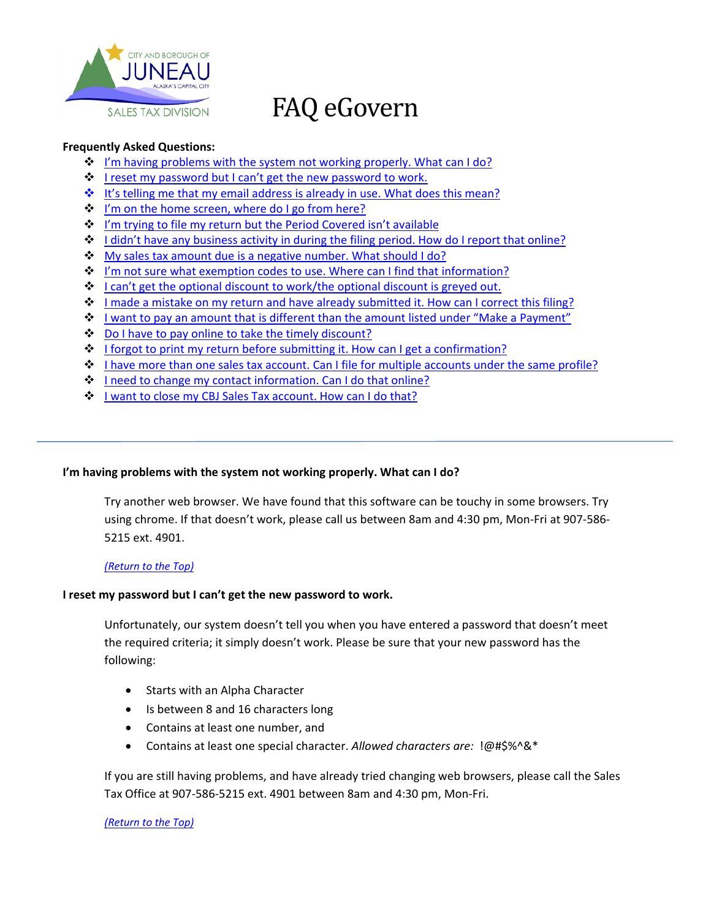

# FAQ eGovern

# <span id="page-0-2"></span>**Frequently Asked Questions:**

- $\cdot$  [I'm having problems with the system not working properly.](#page-0-0) What can I do?
- $\dots$  [I reset my password but I can't get the new password to work.](#page-0-1)
- $\div$  [It's telling me that my email address is already in use. What does this mean?](#page-1-0)
- $\dots$  [I'm on the home screen, where do I go from here?](#page-1-1)
- $\dots$  [I'm trying to file my return but the Period Covered isn't available](#page-1-2)
- ◆ [I didn't have any business activity in during the filing period. How do I report that online?](#page-2-0)
- ◆ [My sales tax amount due is a negative number. What should I do?](#page-2-1)
- [I'm not sure what exemption codes to use. Where can I find that information?](#page-2-1)
- ◆ I can't get the optional [discount to work/the optional discount is greyed out.](#page-2-2)
- [I made a mistake on my return and have already submitted it. How can I correct this filing?](#page-2-3)
- $\bullet$  [I want to pay an amount that is different than the amount listed under "Make a Payment"](#page-3-0)
- ◆ [Do I have to pay online to take the timely discount?](#page-3-1)
- $\div$  [I forgot to print my return before submitting it. How can I get a confirmation?](#page-3-2)
- ◆ [I have more than one sales tax account. Can I file for multiple accounts under the same profile?](#page-4-0)
- ❖ [I need to change my contact information. Can I do that online?](#page-4-1)
- $\dots$  [I want to close my CBJ Sales Tax account. How can I do that?](#page-4-2)

# <span id="page-0-0"></span>**I'm having problems with the system not working properly. What can I do?**

Try another web browser. We have found that this software can be touchy in some browsers. Try using chrome. If that doesn't work, please call us between 8am and 4:30 pm, Mon-Fri at 907-586- 5215 ext. 4901.

# *[\(Return to the Top\)](#page-0-2)*

# <span id="page-0-1"></span>**I reset my password but I can't get the new password to work.**

Unfortunately, our system doesn't tell you when you have entered a password that doesn't meet the required criteria; it simply doesn't work. Please be sure that your new password has the following:

- Starts with an Alpha Character
- Is between 8 and 16 characters long
- Contains at least one number, and
- Contains at least one special character. *Allowed characters are:* !@#\$%^&\*

If you are still having problems, and have already tried changing web browsers, please call the Sales Tax Office at 907-586-5215 ext. 4901 between 8am and 4:30 pm, Mon-Fri.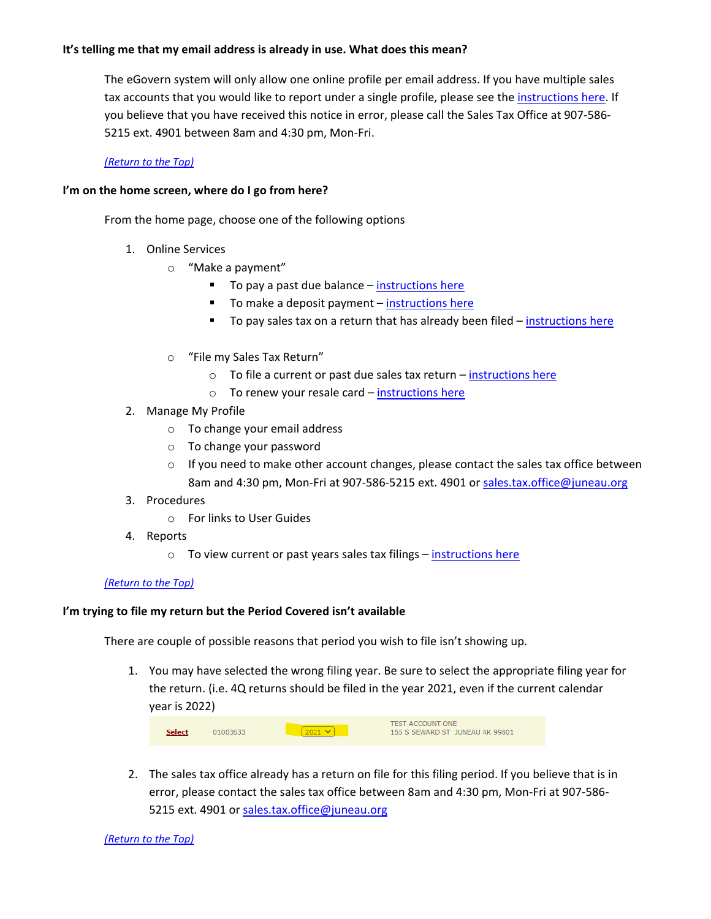# <span id="page-1-0"></span>**It's telling me that my email address is already in use. What does this mean?**

The eGovern system will only allow one online profile per email address. If you have multiple sales tax accounts that you would like to report under a single profile, please see the [instructions](#page-4-0) here. If you believe that you have received this notice in error, please call the Sales Tax Office at 907-586- 5215 ext. 4901 between 8am and 4:30 pm, Mon-Fri.

## *[\(Return to the Top\)](#page-0-2)*

## <span id="page-1-1"></span>**I'm on the home screen, where do I go from here?**

From the home page, choose one of the following options

- 1. Online Services
	- o "Make a payment"
		- To pay a past due balance [instructions here](https://chstm2y9cx63tv84u2p8shc3-wpengine.netdna-ssl.com/wp-content/uploads/2021/10/Making-a-Payment_balance_2021.pdf)
		- To make a deposit payment [instructions here](https://chstm2y9cx63tv84u2p8shc3-wpengine.netdna-ssl.com/wp-content/uploads/2021/10/Making-a-Payment_deposit_2021.pdf)
		- To pay sales tax on a return that has already been filed [instructions here](https://chstm2y9cx63tv84u2p8shc3-wpengine.netdna-ssl.com/wp-content/uploads/2021/10/Making-a-Payment_with-return_2021.pdf)
	- o "File my Sales Tax Return"
		- $\circ$  To file a current or past due sales tax return [instructions here](https://juneau.org/finance/sales-tax-online-payment)
		- $\circ$  To renew your resale card [instructions here](https://chstm2y9cx63tv84u2p8shc3-wpengine.netdna-ssl.com/wp-content/uploads/2021/10/Renewing-Resale-of-Goods-Certificate_2021-1.pdf)
- 2. Manage My Profile
	- o To change your email address
	- o To change your password
	- $\circ$  If you need to make other account changes, please contact the sales tax office between 8am and 4:30 pm, Mon-Fri at 907-586-5215 ext. 4901 or [sales.tax.office@juneau.org](mailto:sales.tax.office@juneau.org)
- 3. Procedures
	- o For links to User Guides
- 4. Reports
	- o To view current or past years sales tax filings [instructions here](https://chstm2y9cx63tv84u2p8shc3-wpengine.netdna-ssl.com/wp-content/uploads/2021/10/eGov-Reports_2021.pdf)

## *[\(Return to the Top\)](#page-0-2)*

## <span id="page-1-2"></span>**I'm trying to file my return but the Period Covered isn't available**

There are couple of possible reasons that period you wish to file isn't showing up.

1. You may have selected the wrong filing year. Be sure to select the appropriate filing year for the return. (i.e. 4Q returns should be filed in the year 2021, even if the current calendar year is 2022)

|               |          |                | <b>TEST ACCOUNT ONE</b>         |
|---------------|----------|----------------|---------------------------------|
| <b>Select</b> | 01003633 | $12021$ $\vee$ | 155 S SEWARD ST JUNEAU AK 99801 |

2. The sales tax office already has a return on file for this filing period. If you believe that is in error, please contact the sales tax office between 8am and 4:30 pm, Mon-Fri at 907-586 5215 ext. 4901 or [sales.tax.office@juneau.org](mailto:sales.tax.office@juneau.org)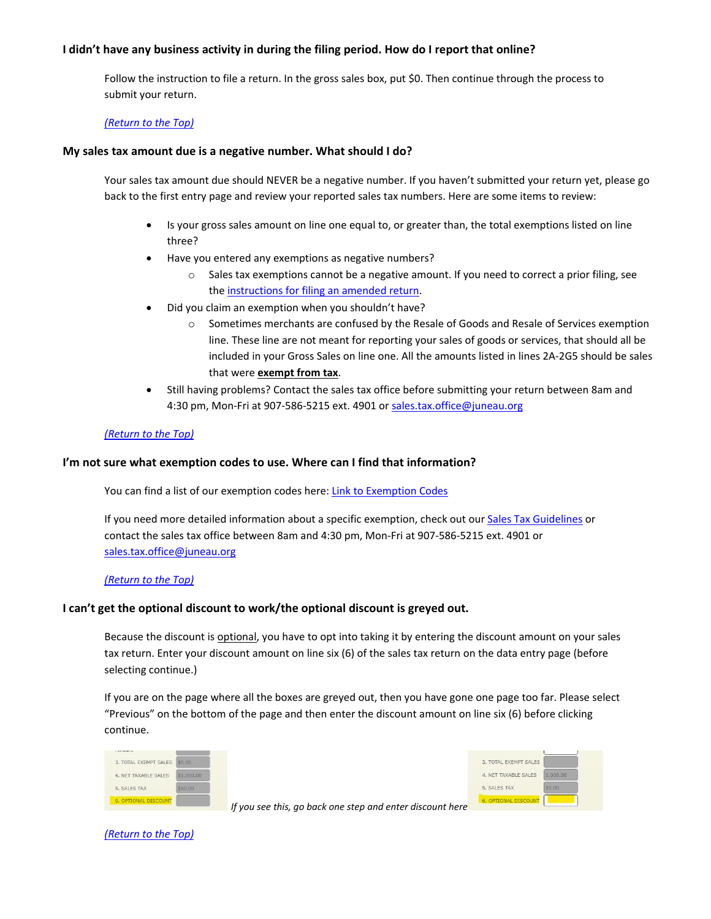## <span id="page-2-0"></span>**I didn't have any business activity in during the filing period. How do I report that online?**

Follow the instruction to file a return. In the gross sales box, put \$0. Then continue through the process to submit your return.

#### *[\(Return to the Top\)](#page-0-2)*

#### <span id="page-2-1"></span>**My sales tax amount due is a negative number. What should I do?**

Your sales tax amount due should NEVER be a negative number. If you haven't submitted your return yet, please go back to the first entry page and review your reported sales tax numbers. Here are some items to review:

- Is your gross sales amount on line one equal to, or greater than, the total exemptions listed on line three?
- Have you entered any exemptions as negative numbers?
	- o Sales tax exemptions cannot be a negative amount. If you need to correct a prior filing, see the [instructions for filing an amended return.](#page-2-3)
- Did you claim an exemption when you shouldn't have?
	- o Sometimes merchants are confused by the Resale of Goods and Resale of Services exemption line. These line are not meant for reporting your sales of goods or services, that should all be included in your Gross Sales on line one. All the amounts listed in lines 2A-2G5 should be sales that were **exempt from tax**.
- Still having problems? Contact the sales tax office before submitting your return between 8am and 4:30 pm, Mon-Fri at 907-586-5215 ext. 4901 o[r sales.tax.office@juneau.org](mailto:sales.tax.office@juneau.org)

#### *[\(Return to the Top\)](#page-0-2)*

#### **I'm not sure what exemption codes to use. Where can I find that information?**

You can find a list of our exemption codes here: [Link to Exemption Codes](https://chstm2y9cx63tv84u2p8shc3-wpengine.netdna-ssl.com/wp-content/uploads/2021/09/Exemption-Summary-10.2021.pdf)

If you need more detailed information about a specific exemption, check out our [Sales Tax Guidelines](https://juneau.org/finance/sales-tax-guidelines) or contact the sales tax office between 8am and 4:30 pm, Mon-Fri at 907-586-5215 ext. 4901 or [sales.tax.office@juneau.org](mailto:sales.tax.office@juneau.org)

#### *[\(Return to the Top\)](#page-0-2)*

#### <span id="page-2-2"></span>**I can't get the optional discount to work/the optional discount is greyed out.**

Because the discount is optional, you have to opt into taking it by entering the discount amount on your sales tax return. Enter your discount amount on line six (6) of the sales tax return on the data entry page (before selecting continue.)

If you are on the page where all the boxes are greyed out, then you have gone one page too far. Please select "Previous" on the bottom of the page and then enter the discount amount on line six (6) before clicking continue.

| 3. TOTAL EXEMPT SALES       | \$0.00     |
|-----------------------------|------------|
| 4. NET TAXABLE SALES        | \$1,000.00 |
| 5. SALES TAX                | \$50,00    |
| <b>6. OPTIONAL DISCOUNT</b> |            |

<span id="page-2-3"></span>

*If you see this, go back one step and enter discount here*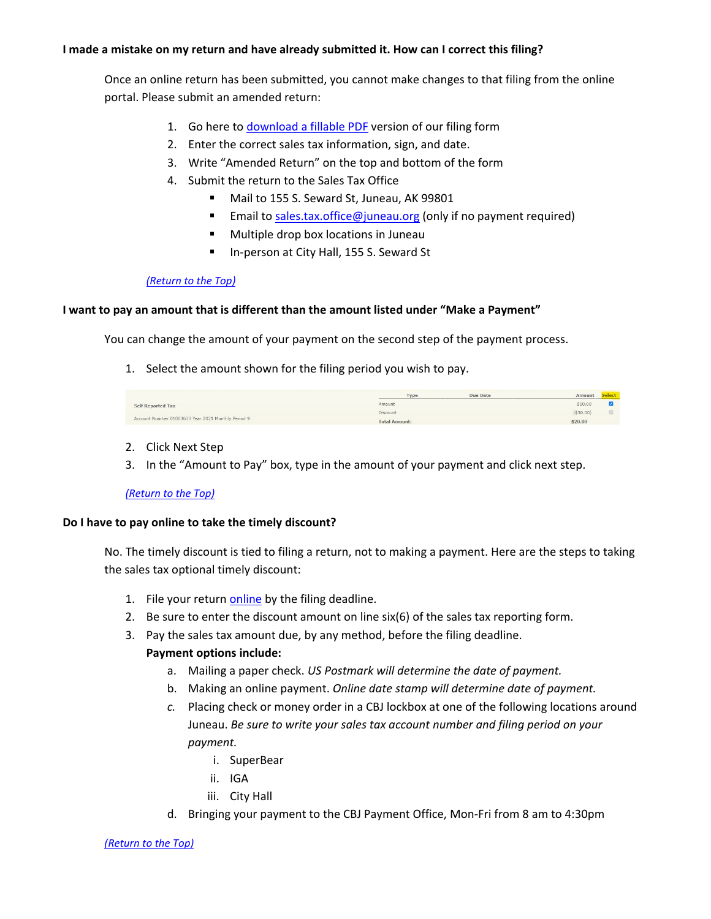# **I made a mistake on my return and have already submitted it. How can I correct this filing?**

Once an online return has been submitted, you cannot make changes to that filing from the online portal. Please submit an amended return:

- 1. Go here to [download a fillable PDF](https://juneau.org/finance/sales-tax-forms) version of our filing form
- 2. Enter the correct sales tax information, sign, and date.
- 3. Write "Amended Return" on the top and bottom of the form
- 4. Submit the return to the Sales Tax Office
	- Mail to 155 S. Seward St, Juneau, AK 99801
	- Email to [sales.tax.office@juneau.org](mailto:sales.tax.office@juneau.org) (only if no payment required)
	- **Multiple drop box locations in Juneau**
	- In-person at City Hall, 155 S. Seward St

## <span id="page-3-0"></span>*[\(Return to the Top\)](#page-0-2)*

## **I want to pay an amount that is different than the amount listed under "Make a Payment"**

You can change the amount of your payment on the second step of the payment process.

1. Select the amount shown for the filing period you wish to pay.

|                                                    | Type                 | Due Date<br>Amount | Select: |
|----------------------------------------------------|----------------------|--------------------|---------|
| <b>Self Reported Tax</b>                           | Amount               | \$50.00            |         |
|                                                    | <b>Discount</b>      | (530.00)           |         |
| Account Number 01003633 Year 2021 Monthly Period 9 | <b>Total Amount:</b> | \$20.00            |         |

- 2. Click Next Step
- 3. In the "Amount to Pay" box, type in the amount of your payment and click next step.

## *[\(Return to the Top\)](#page-0-2)*

## <span id="page-3-1"></span>**Do I have to pay online to take the timely discount?**

No. The timely discount is tied to filing a return, not to making a payment. Here are the steps to taking the sales tax optional timely discount:

- 1. File your return [online](https://paycbj.ci.juneau.ak.us/) by the filing deadline.
- 2. Be sure to enter the discount amount on line  $six(6)$  of the sales tax reporting form.
- 3. Pay the sales tax amount due, by any method, before the filing deadline.

## **Payment options include:**

- a. Mailing a paper check. *US Postmark will determine the date of payment.*
- b. Making an online payment. *Online date stamp will determine date of payment.*
- *c.* Placing check or money order in a CBJ lockbox at one of the following locations around Juneau. *Be sure to write your sales tax account number and filing period on your payment.* 
	- i. SuperBear
	- ii. IGA
	- iii. City Hall
- <span id="page-3-2"></span>d. Bringing your payment to the CBJ Payment Office, Mon-Fri from 8 am to 4:30pm